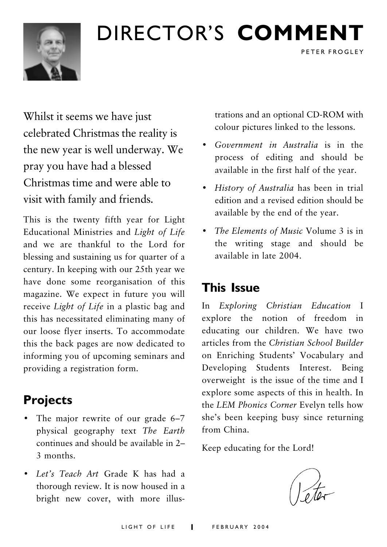## DIRECTOR'S COMMENT



## Whilst it seems we have just celebrated Christmas the reality is the new year is well underway. We pray you have had a blessed Christmas time and were able to visit with family and friends.

This is the twenty fifth year for Light Educational Ministries and Light of Life and we are thankful to the Lord for blessing and sustaining us for quarter of a century. In keeping with our 25th year we have done some reorganisation of this magazine. We expect in future you will receive Light of Life in a plastic bag and this has necessitated eliminating many of our loose flyer inserts. To accommodate this the back pages are now dedicated to informing you of upcoming seminars and providing a registration form.

## **Projects**

- The major rewrite of our grade 6-7 physical geography text The Earth continues and should be available in 2-3 months
- Let's Teach Art Grade K has had a thorough review. It is now housed in a bright new cover, with more illus-

trations and an optional CD-ROM with colour pictures linked to the lessons.

PETER FROGLEY

- Government in Australia is in the process of editing and should be available in the first half of the year.
- History of Australia has been in trial edition and a revised edition should be available by the end of the year.
- The Elements of Music Volume 3 is in the writing stage and should be available in late 2004.

## **This Issue**

In Exploring Christian Education I explore the notion of freedom in educating our children. We have two articles from the Christian School Builder on Enriching Students' Vocabulary and Developing Students Interest. Being overweight is the issue of the time and I explore some aspects of this in health. In the LEM Phonics Corner Evelyn tells how she's been keeping busy since returning from China

Keep educating for the Lord!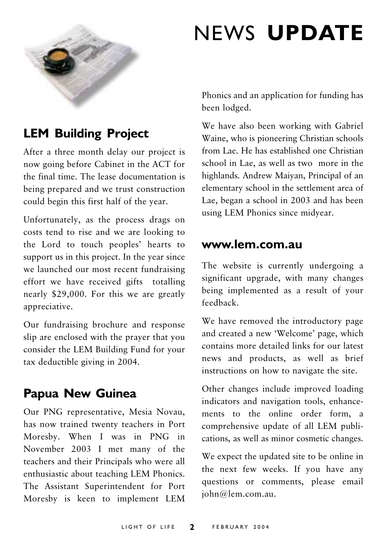

## **NEWS UPDATE**

## **LEM Building Project**

After a three month delay our project is now going before Cabinet in the ACT for the final time. The lease documentation is being prepared and we trust construction could begin this first half of the year.

Unfortunately, as the process drags on costs tend to rise and we are looking to the Lord to touch peoples' hearts to support us in this project. In the year since we launched our most recent fundraising effort we have received gifts totalling nearly \$29,000. For this we are greatly appreciative.

Our fundraising brochure and response slip are enclosed with the prayer that you consider the LEM Building Fund for your tax deductible giving in 2004.

### **Papua New Guinea**

Our PNG representative, Mesia Novau, has now trained twenty teachers in Port Moresby. When I was in PNG in November 2003 I met many of the teachers and their Principals who were all enthusiastic about teaching LEM Phonics. The Assistant Superintendent for Port Moresby is keen to implement LEM

Phonics and an application for funding has been lodged.

We have also been working with Gabriel Waine, who is pioneering Christian schools from Lae. He has established one Christian school in Lae, as well as two more in the highlands. Andrew Maiyan, Principal of an elementary school in the settlement area of Lae, began a school in 2003 and has been using LEM Phonics since midyear.

#### www.lem.com.au

The website is currently undergoing a significant upgrade, with many changes being implemented as a result of your feedback.

We have removed the introductory page and created a new 'Welcome' page, which contains more detailed links for our latest news and products, as well as brief instructions on how to navigate the site.

Other changes include improved loading indicators and navigation tools, enhancements to the online order form, a comprehensive update of all LEM publications, as well as minor cosmetic changes.

We expect the updated site to be online in the next few weeks. If you have any questions or comments, please email iohn@lem.com.au.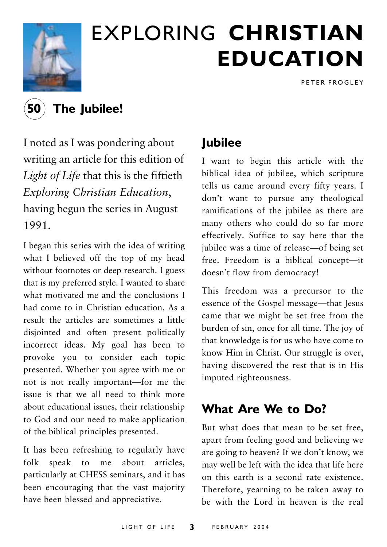

## **EXPLORING CHRISTIAN EDUCATION**

PETER FROGLEY



The Jubilee!

I noted as I was pondering about writing an article for this edition of Light of Life that this is the fiftieth Exploring Christian Education, having begun the series in August 1991.

I began this series with the idea of writing what I believed off the top of my head without footnotes or deep research. I guess that is my preferred style. I wanted to share what motivated me and the conclusions I had come to in Christian education. As a result the articles are sometimes a little disjointed and often present politically incorrect ideas. My goal has been to provoke you to consider each topic presented. Whether you agree with me or not is not really important-for me the issue is that we all need to think more about educational issues, their relationship to God and our need to make application of the biblical principles presented.

It has been refreshing to regularly have speak to me about articles.  $folk$ particularly at CHESS seminars, and it has been encouraging that the vast majority have been blessed and appreciative.

## **lubilee**

I want to begin this article with the biblical idea of jubilee, which scripture tells us came around every fifty years. I don't want to pursue any theological ramifications of the jubilee as there are many others who could do so far more effectively. Suffice to say here that the jubilee was a time of release—of being set free. Freedom is a biblical concept-it doesn't flow from democracy!

This freedom was a precursor to the essence of the Gospel message—that Jesus came that we might be set free from the burden of sin, once for all time. The joy of that knowledge is for us who have come to know Him in Christ. Our struggle is over, having discovered the rest that is in His imputed righteousness.

## What Are We to Do?

But what does that mean to be set free. apart from feeling good and believing we are going to heaven? If we don't know, we may well be left with the idea that life here on this earth is a second rate existence. Therefore, yearning to be taken away to be with the Lord in heaven is the real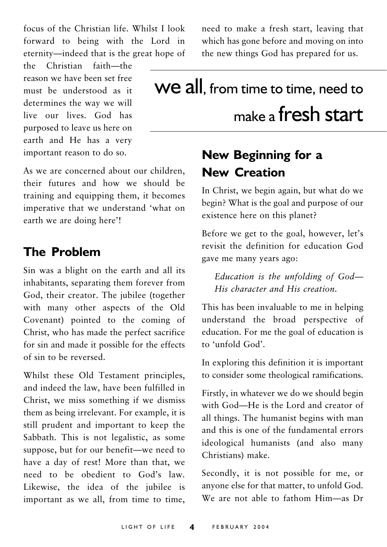focus of the Christian life. Whilst I look forward to being with the Lord in eternity-indeed that is the great hope of

the Christian faith-the reason we have been set free must be understood as it determines the way we will live our lives. God has purposed to leave us here on earth and He has a very important reason to do so.

As we are concerned about our children. their futures and how we should be training and equipping them, it becomes imperative that we understand 'what on earth we are doing here'!

### **The Problem**

Sin was a blight on the earth and all its inhabitants, separating them forever from God, their creator. The jubilee (together with many other aspects of the Old Covenant) pointed to the coming of Christ, who has made the perfect sacrifice for sin and made it possible for the effects of sin to be reversed.

Whilst these Old Testament principles, and indeed the law, have been fulfilled in Christ, we miss something if we dismiss them as being irrelevant. For example, it is still prudent and important to keep the Sabbath. This is not legalistic, as some suppose, but for our benefit-we need to have a day of rest! More than that, we need to be obedient to God's law. Likewise, the idea of the jubilee is important as we all, from time to time, need to make a fresh start, leaving that which has gone before and moving on into the new things God has prepared for us.

## We all, from time to time, need to make a fresh start

## New Beginning for a **New Creation**

In Christ, we begin again, but what do we begin? What is the goal and purpose of our existence here on this planet?

Before we get to the goal, however, let's revisit the definition for education God gave me many years ago:

Education is the unfolding of God-His character and His creation.

This has been invaluable to me in helping understand the broad perspective of education. For me the goal of education is to 'unfold God'

In exploring this definition it is important to consider some theological ramifications.

Firstly, in whatever we do we should begin with God-He is the Lord and creator of all things. The humanist begins with man and this is one of the fundamental errors ideological humanists (and also many Christians) make.

Secondly, it is not possible for me, or anyone else for that matter, to unfold God. We are not able to fathom Him-as Dr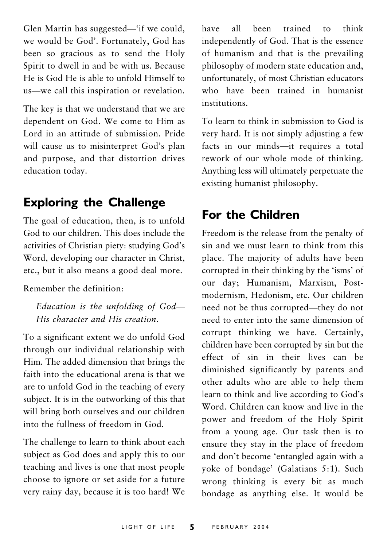Glen Martin has suggested—'if we could, we would be God'. Fortunately, God has been so gracious as to send the Holy Spirit to dwell in and be with us. Because He is God He is able to unfold Himself to us—we call this inspiration or revelation.

The key is that we understand that we are dependent on God. We come to Him as Lord in an attitude of submission Pride will cause us to misinterpret God's plan and purpose, and that distortion drives education today.

### **Exploring the Challenge**

The goal of education, then, is to unfold God to our children. This does include the activities of Christian piety: studying God's Word, developing our character in Christ, etc., but it also means a good deal more.

Remember the definition.

Education is the unfolding of God-His character and His creation.

To a significant extent we do unfold God through our individual relationship with Him. The added dimension that brings the faith into the educational arena is that we are to unfold God in the teaching of every subject. It is in the outworking of this that will bring both ourselves and our children into the fullness of freedom in God.

The challenge to learn to think about each subject as God does and apply this to our teaching and lives is one that most people choose to ignore or set aside for a future very rainy day, because it is too hard! We

all been trained to think have independently of God. That is the essence of humanism and that is the prevailing philosophy of modern state education and, unfortunately, of most Christian educators who have been trained in humanist institutions

To learn to think in submission to God is very hard. It is not simply adjusting a few facts in our minds-it requires a total rework of our whole mode of thinking. Anything less will ultimately perpetuate the existing humanist philosophy.

### **For the Children**

Freedom is the release from the penalty of sin and we must learn to think from this place. The majority of adults have been corrupted in their thinking by the 'isms' of our day; Humanism, Marxism, Postmodernism, Hedonism, etc. Our children need not be thus corrupted—they do not need to enter into the same dimension of corrupt thinking we have. Certainly, children have been corrupted by sin but the effect of sin in their lives can be diminished significantly by parents and other adults who are able to help them learn to think and live according to God's Word. Children can know and live in the power and freedom of the Holy Spirit from a young age. Our task then is to ensure they stay in the place of freedom and don't become 'entangled again with a yoke of bondage' (Galatians 5:1). Such wrong thinking is every bit as much bondage as anything else. It would be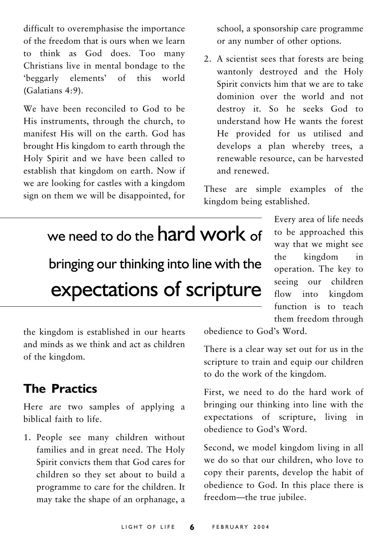difficult to overemphasise the importance of the freedom that is ours when we learn to think as God does. Too many Christians live in mental bondage to the 'beggarly elements' of this world (Galatians 4:9).

We have been reconciled to God to be His instruments, through the church, to manifest His will on the earth. God has brought His kingdom to earth through the Holy Spirit and we have been called to establish that kingdom on earth. Now if we are looking for castles with a kingdom sign on them we will be disappointed, for

school, a sponsorship care programme or any number of other options.

2. A scientist sees that forests are being wantonly destroyed and the Holy Spirit convicts him that we are to take dominion over the world and not destroy it. So he seeks God to understand how He wants the forest He provided for us utilised and develops a plan whereby trees, a renewable resource, can be harvested and renewed

These are simple examples of the kingdom being established.

## we need to do the hard work of

bringing our thinking into line with the expectations of scripture

Every area of life needs to be approached this way that we might see kingdom the  $in$ operation. The key to seeing our children flow into kingdom function is to teach them freedom through

the kingdom is established in our hearts and minds as we think and act as children of the kingdom.

## **The Practics**

Here are two samples of applying a biblical faith to life.

1. People see many children without families and in great need. The Holy Spirit convicts them that God cares for children so they set about to build a programme to care for the children. It may take the shape of an orphanage, a

obedience to God's Word.

There is a clear way set out for us in the scripture to train and equip our children to do the work of the kingdom.

First, we need to do the hard work of bringing our thinking into line with the expectations of scripture, living in obedience to God's Word.

Second, we model kingdom living in all we do so that our children, who love to copy their parents, develop the habit of obedience to God. In this place there is freedom-the true jubilee.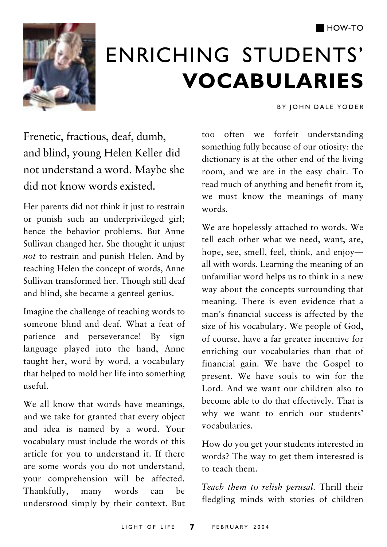

## **ENRICHING STUDENTS' VOCABULARIES**

BY JOHN DALE YODER

Frenetic, fractious, deaf, dumb, and blind, young Helen Keller did not understand a word. Maybe she did not know words existed.

Her parents did not think it just to restrain or punish such an underprivileged girl; hence the behavior problems. But Anne Sullivan changed her. She thought it unjust not to restrain and punish Helen. And by teaching Helen the concept of words, Anne Sullivan transformed her. Though still deaf and blind, she became a genteel genius.

Imagine the challenge of teaching words to someone blind and deaf What a feat of patience and perseverance! By sign language played into the hand, Anne taught her, word by word, a vocabulary that helped to mold her life into something  $useful$ 

We all know that words have meanings, and we take for granted that every object and idea is named by a word. Your vocabulary must include the words of this article for you to understand it. If there are some words you do not understand, your comprehension will be affected. Thankfully, many words can understood simply by their context. But too often we forfeit understanding something fully because of our otiosity: the dictionary is at the other end of the living room, and we are in the easy chair. To read much of anything and benefit from it, we must know the meanings of many words

We are hopelessly attached to words. We tell each other what we need, want, are, hope, see, smell, feel, think, and enjoyall with words. Learning the meaning of an unfamiliar word helps us to think in a new way about the concepts surrounding that meaning. There is even evidence that a man's financial success is affected by the size of his vocabulary. We people of God, of course, have a far greater incentive for enriching our vocabularies than that of financial gain. We have the Gospel to present. We have souls to win for the Lord And we want our children also to become able to do that effectively. That is why we want to enrich our students' vocabularies.

How do you get your students interested in words? The way to get them interested is to teach them.

Teach them to relish perusal. Thrill their fledgling minds with stories of children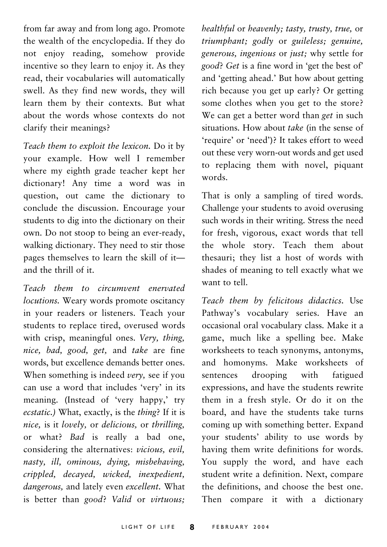from far away and from long ago. Promote the wealth of the encyclopedia. If they do not enjoy reading, somehow provide incentive so they learn to enjoy it. As they read, their vocabularies will automatically swell. As they find new words, they will learn them by their contexts. But what about the words whose contexts do not clarify their meanings?

Teach them to exploit the lexicon. Do it by your example. How well I remember where my eighth grade teacher kept her dictionary! Any time a word was in question, out came the dictionary to conclude the discussion. Encourage your students to dig into the dictionary on their own. Do not stoop to being an ever-ready, walking dictionary. They need to stir those pages themselves to learn the skill of itand the thrill of it

Teach them to circumvent enervated locutions. Weary words promote oscitancy in your readers or listeners. Teach your students to replace tired, overused words with crisp, meaningful ones. Very, thing, nice, bad, good, get, and take are fine words, but excellence demands better ones. When something is indeed very, see if you can use a word that includes 'very' in its meaning. (Instead of 'very happy,' try ecstatic.) What, exactly, is the thing? If it is nice, is it lovely, or delicious, or thrilling, or what? Bad is really a bad one, considering the alternatives: vicious, evil, nasty, ill, ominous, dying, misbehaving, crippled, decayed, wicked, inexpedient, dangerous, and lately even excellent. What is better than good? Valid or virtuous; healthful or heavenly; tasty, trusty, true, or triumphant; godly or guileless; genuine, generous, ingenious or just; why settle for good? Get is a fine word in 'get the best of' and 'getting ahead.' But how about getting rich because vou get up early? Or getting some clothes when you get to the store? We can get a better word than get in such situations. How about take (in the sense of 'require' or 'need')? It takes effort to weed out these very worn-out words and get used to replacing them with novel, piquant words

That is only a sampling of tired words. Challenge your students to avoid overusing such words in their writing. Stress the need for fresh, vigorous, exact words that tell the whole story. Teach them about thesauri; they list a host of words with shades of meaning to tell exactly what we want to tell

Teach them by felicitous didactics. Use Pathway's vocabulary series. Have an occasional oral vocabulary class. Make it a game, much like a spelling bee. Make worksheets to teach synonyms, antonyms, and homonyms. Make worksheets of sentences drooping with fatigued expressions, and have the students rewrite them in a fresh style. Or do it on the board, and have the students take turns coming up with something better. Expand your students' ability to use words by having them write definitions for words. You supply the word, and have each student write a definition. Next, compare the definitions, and choose the best one. Then compare it with a dictionary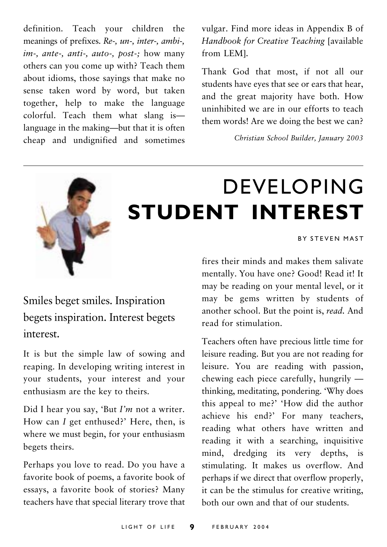definition. Teach your children the meanings of prefixes. Re-, un-, inter-, ambi-, im-, ante-, anti-, auto-, post-; how many others can you come up with? Teach them about idioms, those sayings that make no sense taken word by word, but taken together, help to make the language colorful. Teach them what slang islanguage in the making-but that it is often cheap and undignified and sometimes vulgar. Find more ideas in Appendix B of Handbook for Creative Teaching [available from LEMl.

Thank God that most, if not all our students have eyes that see or ears that hear, and the great majority have both. How uninhibited we are in our efforts to teach them words! Are we doing the best we can?

Christian School Builder, January 2003



## **DEVELOPING STUDENT INTEREST**

BY STEVEN MAST

#### fires their minds and makes them salivate mentally. You have one? Good! Read it! It may be reading on your mental level, or it may be gems written by students of another school. But the point is, read. And read for stimulation

Teachers often have precious little time for leisure reading. But you are not reading for leisure. You are reading with passion, chewing each piece carefully, hungrily  $$ thinking, meditating, pondering. 'Why does this appeal to me?' 'How did the author achieve his end?' For many teachers, reading what others have written and reading it with a searching, inquisitive mind, dredging its very depths, is stimulating. It makes us overflow. And perhaps if we direct that overflow properly, it can be the stimulus for creative writing. both our own and that of our students.

## Smiles beget smiles. Inspiration begets inspiration. Interest begets interest

It is but the simple law of sowing and reaping. In developing writing interest in vour students, your interest and your enthusiasm are the key to theirs.

Did I hear you say, 'But  $I'm$  not a writer. How can I get enthused?' Here, then, is where we must begin, for your enthusiasm begets theirs.

Perhaps you love to read. Do you have a favorite book of poems, a favorite book of essays, a favorite book of stories? Many teachers have that special literary trove that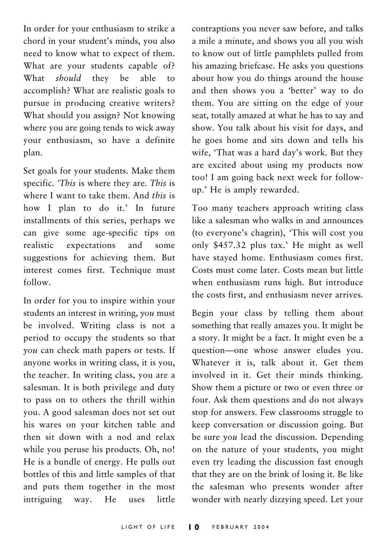In order for your enthusiasm to strike a chord in your student's minds, you also need to know what to expect of them. What are your students capable of? should they be What able to accomplish? What are realistic goals to pursue in producing creative writers? What should you assign? Not knowing where you are going tends to wick away vour enthusiasm, so have a definite plan.

Set goals for your students. Make them specific. This is where they are. This is where I want to take them. And this is how I plan to do it.' In future installments of this series, perhaps we can give some age-specific tips on realistic expectations and some suggestions for achieving them. But interest comes first. Technique must  $f_0$ llow

In order for you to inspire within your students an interest in writing, you must be involved. Writing class is not a period to occupy the students so that you can check math papers or tests. If anyone works in writing class, it is you, the teacher. In writing class, you are a salesman. It is both privilege and duty to pass on to others the thrill within you. A good salesman does not set out his wares on your kitchen table and then sit down with a nod and relax while you peruse his products. Oh, no! He is a bundle of energy. He pulls out bottles of this and little samples of that and puts them together in the most intriguing way. He uses little

contraptions you never saw before, and talks a mile a minute, and shows you all you wish to know out of little pamphlets pulled from his amazing briefcase. He asks you questions about how you do things around the house and then shows you a 'better' way to do them. You are sitting on the edge of your seat, totally amazed at what he has to say and show. You talk about his visit for days, and he goes home and sits down and tells his wife, 'That was a hard day's work. But they are excited about using my products now too! I am going back next week for followup.' He is amply rewarded.

Too many teachers approach writing class like a salesman who walks in and announces (to everyone's chagrin), 'This will cost you only \$457.32 plus tax.' He might as well have staved home. Enthusiasm comes first. Costs must come later. Costs mean but little when enthusiasm runs high. But introduce the costs first, and enthusiasm never arrives.

Begin your class by telling them about something that really amazes you. It might be a story. It might be a fact. It might even be a question-one whose answer eludes you. Whatever it is, talk about it. Get them involved in it. Get their minds thinking. Show them a picture or two or even three or four. Ask them questions and do not always stop for answers. Few classrooms struggle to keep conversation or discussion going. But be sure  $you$  lead the discussion. Depending on the nature of your students, you might even try leading the discussion fast enough that they are on the brink of losing it. Be like the salesman who presents wonder after wonder with nearly dizzying speed. Let your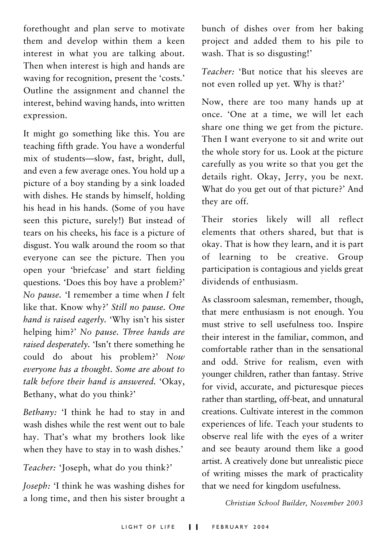forethought and plan serve to motivate them and develop within them a keen interest in what you are talking about. Then when interest is high and hands are waving for recognition, present the 'costs.' Outline the assignment and channel the interest, behind waving hands, into written expression.

It might go something like this. You are teaching fifth grade. You have a wonderful mix of students-slow, fast, bright, dull, and even a few average ones. You hold up a picture of a boy standing by a sink loaded with dishes. He stands by himself, holding his head in his hands. (Some of you have seen this picture, surely!) But instead of tears on his cheeks, his face is a picture of disgust. You walk around the room so that everyone can see the picture. Then you open your 'briefcase' and start fielding questions. 'Does this boy have a problem?' No pause. T remember a time when I felt like that. Know why?' Still no pause. One hand is raised eagerly. 'Why isn't his sister helping him?' No pause. Three hands are raised desperately. 'Isn't there something he could do about his problem?' Now everyone has a thought. Some are about to talk before their hand is answered. 'Okay, Bethany, what do you think?'

Bethany: 'I think he had to stay in and wash dishes while the rest went out to bale hay. That's what my brothers look like when they have to stay in to wash dishes.'

#### Teacher: 'Joseph, what do you think?'

Joseph: 'I think he was washing dishes for a long time, and then his sister brought a bunch of dishes over from her baking project and added them to his pile to wash. That is so disgusting!'

Teacher: 'But notice that his sleeves are not even rolled up yet. Why is that?'

Now, there are too many hands up at once. 'One at a time, we will let each share one thing we get from the picture. Then I want everyone to sit and write out the whole story for us. Look at the picture carefully as you write so that you get the details right. Okay, Jerry, you be next. What do you get out of that picture?' And they are off.

Their stories likely will all reflect elements that others shared, but that is okay. That is how they learn, and it is part of learning to be creative. Group participation is contagious and yields great dividends of enthusiasm.

As classroom salesman, remember, though, that mere enthusiasm is not enough. You must strive to sell usefulness too. Inspire their interest in the familiar, common, and comfortable rather than in the sensational and odd. Strive for realism, even with younger children, rather than fantasy. Strive for vivid, accurate, and picturesque pieces rather than startling, off-beat, and unnatural creations. Cultivate interest in the common experiences of life. Teach your students to observe real life with the eyes of a writer and see beauty around them like a good artist. A creatively done but unrealistic piece of writing misses the mark of practicality that we need for kingdom usefulness.

Christian School Builder, November 2003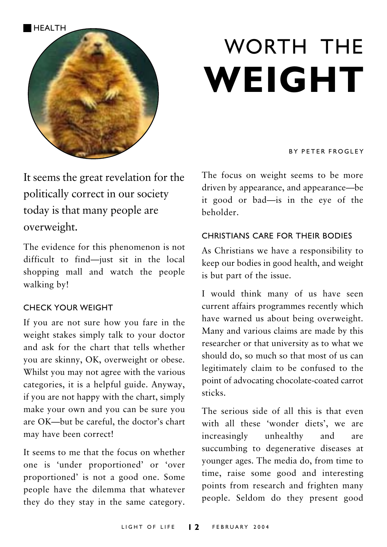

# **WORTH THE** WEIGHT

#### **RY PETER FROGLEY**

It seems the great revelation for the politically correct in our society today is that many people are overweight.

The evidence for this phenomenon is not difficult to find-just sit in the local shopping mall and watch the people walking by!

#### **CHECK YOUR WEIGHT**

If you are not sure how you fare in the weight stakes simply talk to your doctor and ask for the chart that tells whether you are skinny, OK, overweight or obese. Whilst you may not agree with the various categories, it is a helpful guide. Anyway, if you are not happy with the chart, simply make your own and you can be sure you are OK-but be careful, the doctor's chart may have been correct!

It seems to me that the focus on whether one is 'under proportioned' or 'over proportioned' is not a good one. Some people have the dilemma that whatever they do they stay in the same category. The focus on weight seems to be more driven by appearance, and appearance—be it good or bad-is in the eye of the beholder.

#### CHRISTIANS CARE FOR THEIR RODIES

As Christians we have a responsibility to keep our bodies in good health, and weight is but part of the issue.

I would think many of us have seen current affairs programmes recently which have warned us about being overweight. Many and various claims are made by this researcher or that university as to what we should do, so much so that most of us can legitimately claim to be confused to the point of advocating chocolate-coated carrot sticks.

The serious side of all this is that even with all these 'wonder diets', we are increasingly unhealthy and are succumbing to degenerative diseases at younger ages. The media do, from time to time, raise some good and interesting points from research and frighten many people. Seldom do they present good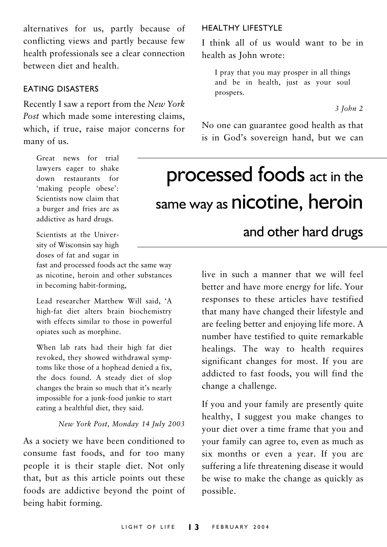alternatives for us, partly because of conflicting views and partly because few health professionals see a clear connection between diet and health.

#### **FATING DISASTERS**

Recently I saw a report from the New York Post which made some interesting claims, which, if true, raise major concerns for many of us.

#### HEALTHY LIFESTYLE

I think all of us would want to be in health as John wrote:

I pray that you may prosper in all things and be in health, just as your soul prospers.

 $3$  John  $2$ 

No one can guarantee good health as that is in God's sovereign hand, but we can

## processed foods act in the same way as nicotine, heroin

Scientists at the University of Wisconsin say high doses of fat and sugar in

Great news for trial lawyers eager to shake

down restaurants for 'making people obese':

Scientists now claim that a burger and fries are as addictive as hard drugs.

fast and processed foods act the same way as nicotine, heroin and other substances in becoming habit-forming,

Lead researcher Matthew Will said, 'A high-fat diet alters brain biochemistry with effects similar to those in powerful opiates such as morphine.

When lab rats had their high fat diet revoked, they showed withdrawal symptoms like those of a hophead denied a fix, the docs found. A steady diet of slop changes the brain so much that it's nearly impossible for a junk-food junkie to start eating a healthful diet, they said.

#### New York Post, Monday 14 July 2003

As a society we have been conditioned to consume fast foods, and for too many people it is their staple diet. Not only that, but as this article points out these foods are addictive beyond the point of being habit forming.

and other hard drugs

live in such a manner that we will feel better and have more energy for life. Your responses to these articles have testified that many have changed their lifestyle and are feeling better and enjoying life more. A number have testified to quite remarkable healings. The way to health requires significant changes for most. If you are addicted to fast foods, you will find the change a challenge.

If you and your family are presently quite healthy, I suggest you make changes to your diet over a time frame that you and your family can agree to, even as much as six months or even a year. If you are suffering a life threatening disease it would be wise to make the change as quickly as possible.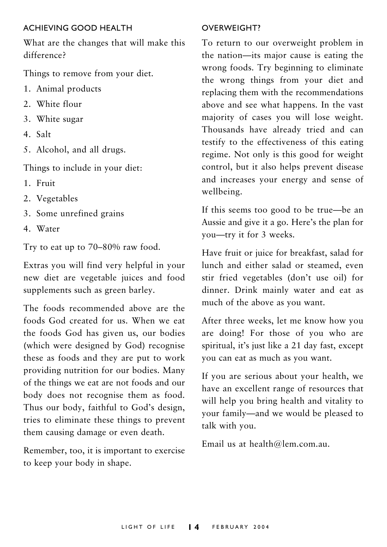#### ACHIFVING GOOD HEALTH

What are the changes that will make this difference?

Things to remove from your diet.

- 1. Animal products
- 2. White flour
- 3. White sugar
- 4. Salt
- 5. Alcohol, and all drugs.

Things to include in your diet:

- 1 Fruit
- 2. Vegetables
- 3. Some unrefined grains
- 4. Water

Try to eat up to 70–80% raw food.

Extras you will find very helpful in your new diet are vegetable juices and food supplements such as green barley.

The foods recommended above are the foods God created for us. When we eat the foods God has given us, our bodies (which were designed by God) recognise these as foods and they are put to work providing nutrition for our bodies. Many of the things we eat are not foods and our body does not recognise them as food. Thus our body, faithful to God's design, tries to eliminate these things to prevent them causing damage or even death.

Remember, too, it is important to exercise to keep your body in shape.

#### OVERWEIGHT?

To return to our overweight problem in the nation-its major cause is eating the wrong foods. Try beginning to eliminate the wrong things from your diet and replacing them with the recommendations above and see what happens. In the vast majority of cases you will lose weight. Thousands have already tried and can testify to the effectiveness of this eating regime. Not only is this good for weight control, but it also helps prevent disease and increases your energy and sense of wellbeing.

If this seems too good to be true—be an Aussie and give it a go. Here's the plan for you-try it for 3 weeks.

Have fruit or juice for breakfast, salad for lunch and either salad or steamed, even stir fried vegetables (don't use oil) for dinner. Drink mainly water and eat as much of the above as you want.

After three weeks, let me know how you are doing! For those of you who are spiritual, it's just like a 21 day fast, except you can eat as much as you want.

If you are serious about your health, we have an excellent range of resources that will help you bring health and vitality to your family-and we would be pleased to talk with you.

Email us at health@lem.com.au.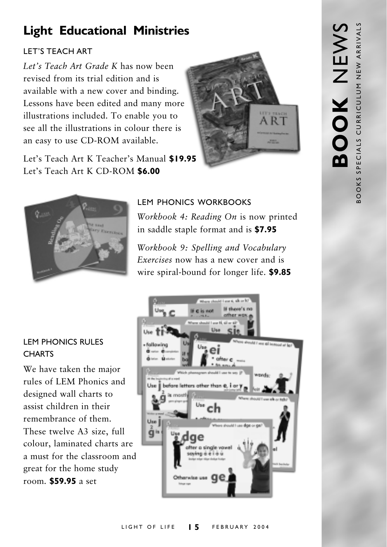## **Light Educational Ministries**

#### **I FT'S TEACH ART**

Let's Teach Art Grade K has now been revised from its trial edition and is available with a new cover and binding. Lessons have been edited and many more illustrations included. To enable you to see all the illustrations in colour there is an easy to use CD-ROM available.







LEM PHONICS WORKBOOKS

Workbook 4: Reading On is now printed in saddle staple format and is \$7.95

Workbook 9: Spelling and Vocabulary Exercises now has a new cover and is wire spiral-bound for longer life. \$9.85

#### **LEM PHONICS RULES CHARTS**

We have taken the major rules of LEM Phonics and designed wall charts to assist children in their remembrance of them. These twelve A3 size, full colour, laminated charts are a must for the classroom and great for the home study room. **\$59.95** a set

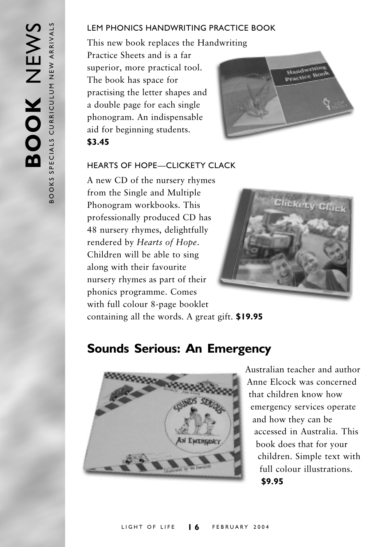#### **I EM PHONICS HANDWRITING PRACTICE BOOK**

This new book replaces the Handwriting Practice Sheets and is a far superior, more practical tool. The book has space for practising the letter shapes and a double page for each single phonogram. An indispensable aid for beginning students. \$3.45



#### **HEARTS OF HOPE-CLICKETY CLACK**

A new CD of the nursery rhymes from the Single and Multiple Phonogram workbooks. This professionally produced CD has 48 nursery rhymes, delightfully rendered by Hearts of Hope. Children will be able to sing along with their favourite nursery rhymes as part of their phonics programme. Comes with full colour 8-page booklet



containing all the words. A great gift. \$19.95

### **Sounds Serious: An Emergency**



Australian teacher and author Anne Elcock was concerned that children know how emergency services operate and how they can be accessed in Australia. This book does that for your children. Simple text with full colour illustrations. \$9.95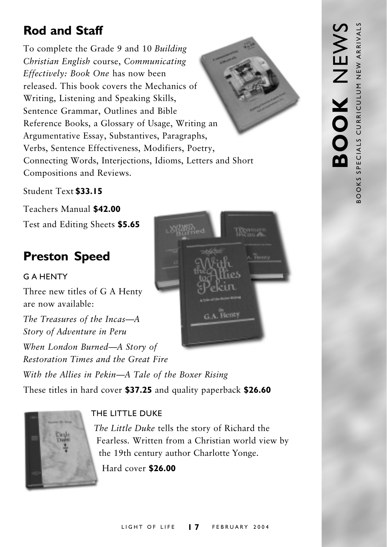## **Rod and Staff**

To complete the Grade 9 and 10 Building Christian English course, Communicating Effectively: Book One has now been released. This book covers the Mechanics of Writing, Listening and Speaking Skills, Sentence Grammar, Outlines and Bible Reference Books, a Glossary of Usage, Writing an Argumentative Essay, Substantives, Paragraphs, Verbs, Sentence Effectiveness, Modifiers, Poetry, Connecting Words, Interjections, Idioms, Letters and Short Compositions and Reviews.

#### Student Text \$33.15

Teachers Manual \$42.00 Test and Editing Sheets \$5.65

## **Preston Speed**

#### **GAHENTY**

Three new titles of G A Henty are now available:

The Treasures of the Incas-A Story of Adventure in Peru When London Burned—A Story of Restoration Times and the Great Fire With the Allies in Pekin-A Tale of the Boxer Rising

These titles in hard cover \$37.25 and quality paperback \$26.60



#### THE LITTLE DUKE

The Little Duke tells the story of Richard the Fearless. Written from a Christian world view by the 19th century author Charlotte Yonge.

Hard cover \$26.00

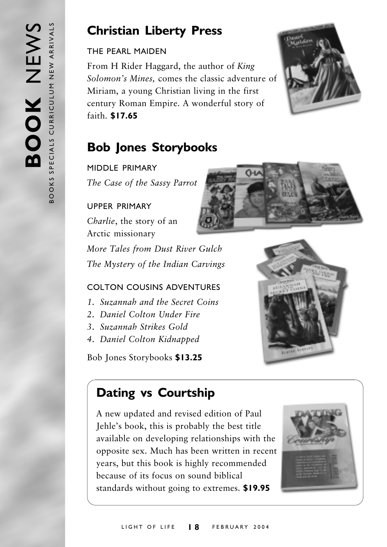## **Christian Liberty Press**

#### THE PEARL MAIDEN

From H Rider Haggard, the author of King Solomon's Mines, comes the classic adventure of Miriam, a young Christian living in the first century Roman Empire. A wonderful story of faith. \$17.65



## **Bob Jones Storybooks**

MIDDI F PRIMARY

The Case of the Sassy Parrot

#### **LIPPER PRIMARY**

Charlie, the story of an Arctic missionary

More Tales from Dust River Gulch The Mystery of the Indian Carvings

#### COLTON COUSINS ADVENTURES

- 1. Suzannah and the Secret Coins
- 2. Daniel Colton Under Fire
- 3. Suzannah Strikes Gold
- 4. Daniel Colton Kidnapped

Bob Jones Storybooks \$13.25



## **Dating vs Courtship**

A new updated and revised edition of Paul Jehle's book, this is probably the best title available on developing relationships with the opposite sex. Much has been written in recent years, but this book is highly recommended because of its focus on sound biblical standards without going to extremes. \$19.95

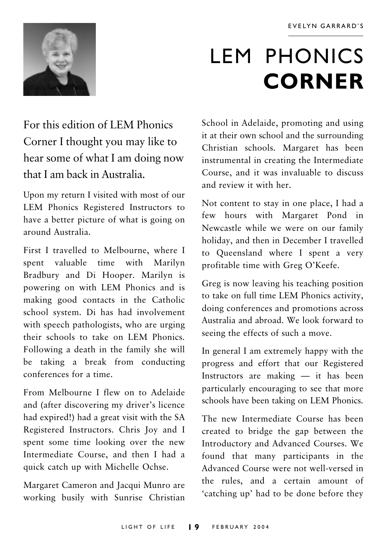

## **LEM PHONICS CORNER**

For this edition of LEM Phonics Corner I thought you may like to hear some of what I am doing now that I am back in Australia.

Upon my return I visited with most of our LEM Phonics Registered Instructors to have a better picture of what is going on around Australia

First I travelled to Melbourne, where I spent valuable time with Marilyn Bradbury and Di Hooper. Marilyn is powering on with LEM Phonics and is making good contacts in the Catholic school system. Di has had involvement with speech pathologists, who are urging their schools to take on LEM Phonics. Following a death in the family she will be taking a break from conducting conferences for a time.

From Melbourne I flew on to Adelaide and (after discovering my driver's licence had expired!) had a great visit with the SA Registered Instructors. Chris Joy and I spent some time looking over the new Intermediate Course, and then I had a quick catch up with Michelle Ochse.

Margaret Cameron and Jacqui Munro are working busily with Sunrise Christian School in Adelaide, promoting and using it at their own school and the surrounding Christian schools. Margaret has been instrumental in creating the Intermediate Course, and it was invaluable to discuss and review it with her

Not content to stay in one place, I had a few hours with Margaret Pond in Newcastle while we were on our family holiday, and then in December I travelled to Queensland where I spent a very profitable time with Greg O'Keefe.

Greg is now leaving his teaching position to take on full time LEM Phonics activity, doing conferences and promotions across Australia and abroad We look forward to seeing the effects of such a move.

In general I am extremely happy with the progress and effort that our Registered Instructors are making - it has been particularly encouraging to see that more schools have been taking on LEM Phonics.

The new Intermediate Course has been created to bridge the gap between the Introductory and Advanced Courses. We found that many participants in the Advanced Course were not well-versed in the rules, and a certain amount of 'catching up' had to be done before they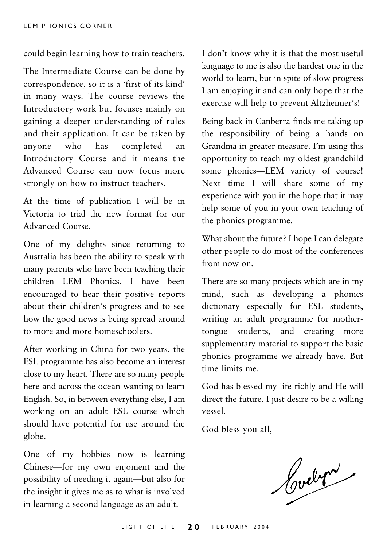could begin learning how to train teachers.

The Intermediate Course can be done by correspondence, so it is a 'first of its kind' in many ways. The course reviews the Introductory work but focuses mainly on gaining a deeper understanding of rules and their application. It can be taken by who has completed anyone an Introductory Course and it means the Advanced Course can now focus more strongly on how to instruct teachers.

At the time of publication I will be in Victoria to trial the new format for our Advanced Course

One of my delights since returning to Australia has been the ability to speak with many parents who have been teaching their children LEM Phonics. I have been encouraged to hear their positive reports about their children's progress and to see how the good news is being spread around to more and more homeschoolers.

After working in China for two years, the ESL programme has also become an interest close to my heart. There are so many people here and across the ocean wanting to learn English. So, in between everything else, I am working on an adult ESL course which should have potential for use around the globe.

One of my hobbies now is learning Chinese—for my own enjoment and the possibility of needing it again—but also for the insight it gives me as to what is involved in learning a second language as an adult.

I don't know why it is that the most useful language to me is also the hardest one in the world to learn, but in spite of slow progress I am enjoying it and can only hope that the exercise will help to prevent Altzheimer's!

Being back in Canberra finds me taking up the responsibility of being a hands on Grandma in greater measure. I'm using this opportunity to teach my oldest grandchild some phonics—LEM variety of course! Next time I will share some of my experience with you in the hope that it may help some of you in your own teaching of the phonics programme.

What about the future? I hope I can delegate other people to do most of the conferences from now on.

There are so many projects which are in my mind, such as developing a phonics dictionary especially for ESL students, writing an adult programme for mothertongue students, and creating more supplementary material to support the basic phonics programme we already have. But time limits me.

God has blessed my life richly and He will direct the future. I just desire to be a willing vessel

God bless you all,

Cochri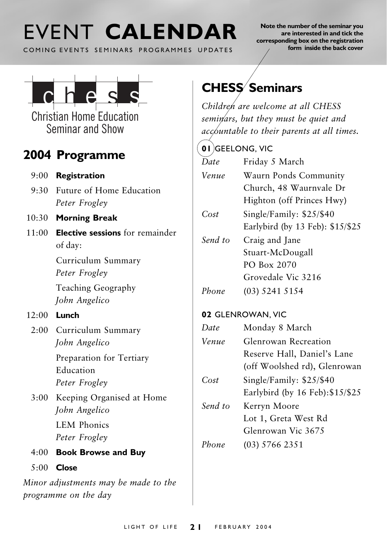## FVENT CALENDAR

COMING EVENTS SEMINARS PROGRAMMES UPDATES

Note the number of the seminar you are interested in and tick the corresponding box on the registration form inside the back cover



**Christian Home Education** Seminar and Show

### 2004 Programme

- $9:00$  Registration
- 9:30 Future of Home Education Peter Frogley
- 10:30 Morning Break
- $11:00$  Elective sessions for remainder of day:

Curriculum Summary Peter Frogley

Teaching Geography John Angelico

#### $12:00$  Lunch

2:00 Curriculum Summary John Angelico

> Preparation for Tertiary Education Peter Frogley

3:00 Keeping Organised at Home John Angelico

> **LEM Phonics** Peter Frogley

- 4:00 Book Browse and Buy
- $5:00$  Close

Minor adjustments may be made to the programme on the day

## **CHESS** Seminars

Children are welcome at all CHESS seminars, but they must be quiet and accountable to their parents at all times.

#### 01 GEELONG, VIC

 $\overline{Date}$ Friday 5 March Venue Waurn Ponds Community Church, 48 Waurnyale Dr. Highton (off Princes Hwy)  $Cost$ Single/Family: \$25/\$40 Earlybird (by 13 Feb): \$15/\$25 Send to Craig and Jane Stuart-McDougall PO Box 2070 Grovedale Vic 3216 Phone  $(03)$  5241 5154

#### 02 GLENROWAN, VIC

| Date    | Monday 8 March                   |  |
|---------|----------------------------------|--|
| Venue   | Glenrowan Recreation             |  |
|         | Reserve Hall, Daniel's Lane      |  |
|         | (off Woolshed rd), Glenrowan     |  |
| Cost    | Single/Family: \$25/\$40         |  |
|         | Earlybird (by 16 Feb): \$15/\$25 |  |
| Send to | Kerryn Moore                     |  |
|         | Lot 1, Greta West Rd             |  |
|         | Glenrowan Vic 3675               |  |
| Phone   | (03) 5766 2351                   |  |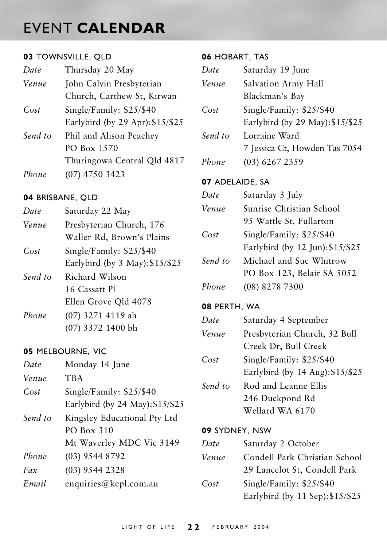## **EVENT CALENDAR**

#### 03 TOWNSVILLE, QLD

| Date    | Thursday 20 May                  |  |
|---------|----------------------------------|--|
| Venue   | John Calvin Presbyterian         |  |
|         | Church, Carthew St, Kirwan       |  |
| Cost    | Single/Family: \$25/\$40         |  |
|         | Earlybird (by 29 Apr): \$15/\$25 |  |
| Send to | Phil and Alison Peachey          |  |
|         | PO Box 1570                      |  |
|         | Thuringowa Central Qld 4817      |  |
| Phone   | (07) 4750 3423                   |  |

#### 04 BRISBANE, QLD

| Date  | Saturday 22 May           |  |
|-------|---------------------------|--|
| Venue | Presbyterian Church, 176  |  |
|       | Waller Rd, Brown's Plains |  |
| Cost  | Single/Family: \$25/\$40  |  |
|       |                           |  |

Earlybird (by 3 May): \$15/\$25 Send to Richard Wilson 16 Cassatt Pl

Ellen Grove Qld 4078

(07) 3271 4119 ah Phone (07) 3372 1400 bh

#### **05 MELBOURNE, VIC**

| Date    | Monday 14 June                   |  |
|---------|----------------------------------|--|
| Venue   | <b>TBA</b>                       |  |
| Cost    | Single/Family: $$25/$40$         |  |
|         | Earlybird (by 24 May): \$15/\$25 |  |
| Send to | Kingsley Educational Pty Ltd     |  |
|         | PO Box 310                       |  |
|         | Mt Waverley MDC Vic 3149         |  |
| Phone   | $(03)$ 9544 8792                 |  |
| Fax     | $(03)$ 9544 2328                 |  |
| Email   | enquiries@kepl.com.au            |  |

#### 06 HOBART, TAS

| Date            | Saturday 19 June                 |  |  |
|-----------------|----------------------------------|--|--|
| Venue           | Salvation Army Hall              |  |  |
|                 | Blackman's Bay                   |  |  |
| Cost            | Single/Family: \$25/\$40         |  |  |
|                 | Earlybird (by 29 May): \$15/\$25 |  |  |
| Send to         | Lorraine Ward                    |  |  |
|                 | 7 Jessica Ct, Howden Tas 7054    |  |  |
| Phone           | (03) 6267 2359                   |  |  |
| 07 ADELAIDE, SA |                                  |  |  |
| Date            | Saturday 3 July                  |  |  |
| Venue           | Sunrise Christian School         |  |  |
|                 | 95 Wattle St, Fullarton          |  |  |
| Cost            | Single/Family: \$25/\$40         |  |  |
|                 | Earlybird (by 12 Jun): \$15/\$25 |  |  |
| Send to         | Michael and Sue Whitrow          |  |  |
|                 | PO Box 123, Belair SA 5052       |  |  |
| Phone           | (08) 8278 7300                   |  |  |
|                 | 08 PERTH, WA                     |  |  |
| Date            | Saturday 4 September             |  |  |
| Venue           | Presbyterian Church, 32 Bull     |  |  |
|                 | Creek Dr, Bull Creek             |  |  |
| Cost            | Single/Family: \$25/\$40         |  |  |
|                 | Earlybird (by 14 Aug): \$15/\$25 |  |  |
| Send to         | Rod and Leanne Ellis             |  |  |
|                 | 246 Duckpond Rd                  |  |  |
|                 | Wellard WA 6170                  |  |  |
| 09 SYDNEY, NSW  |                                  |  |  |
| Date            | Saturday 2 October               |  |  |
| Venue           | Condell Park Christian School    |  |  |
|                 | 29 Lancelot St, Condell Park     |  |  |
| Cost            | Single/Family: \$25/\$40         |  |  |
|                 | Earlybird (by 11 Sep): \$15/\$25 |  |  |
|                 |                                  |  |  |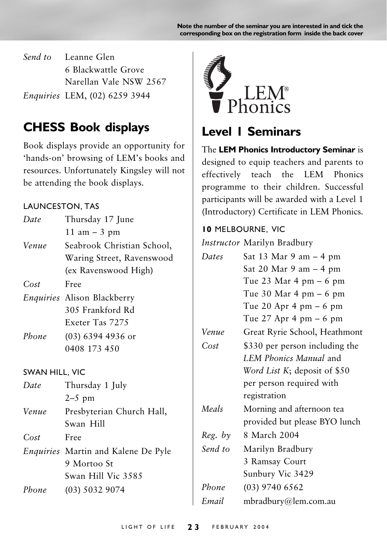Note the number of the seminar you are interested in and tick the corresponding box on the registration form inside the back cover

Send to Leanne Glen 6 Blackwattle Grove Narellan Vale NSW 2567 Enquiries LEM, (02) 6259 3944

### **CHESS Book displays**

Book displays provide an opportunity for 'hands-on' browsing of LEM's books and resources. Unfortunately Kingsley will not be attending the book displays.

#### **LAUNCESTON, TAS**

| Date                  | Thursday 17 June                   |  |
|-----------------------|------------------------------------|--|
|                       | $11 \text{ am} - 3 \text{ pm}$     |  |
| Venue                 | Seabrook Christian School,         |  |
|                       | Waring Street, Ravenswood          |  |
|                       | (ex Ravenswood High)               |  |
| Cost                  | Free                               |  |
|                       | <i>Enquiries</i> Alison Blackberry |  |
|                       | 305 Frankford Rd                   |  |
|                       | Exeter Tas 7275                    |  |
| Phone                 | $(03)$ 6394 4936 or                |  |
|                       | 0408 173 450                       |  |
|                       |                                    |  |
| <b>SWAN HILL, VIC</b> |                                    |  |
| Date                  | Thursday 1 July                    |  |
|                       | $2-5$ pm                           |  |
| Venue                 | Presbyterian Church Hall,          |  |
|                       | Swan Hill                          |  |
| Cost                  | Free                               |  |

Enquiries Martin and Kalene De Pyle 9 Mortoo St

 $(03)$  5032 9074

Phone

Swan Hill Vic 3585



### Level L Seminars

The LEM Phonics Introductory Seminar is designed to equip teachers and parents to effectively teach the LEM Phonics programme to their children. Successful participants will be awarded with a Level 1 (Introductory) Certificate in LEM Phonics.

#### **10 MELBOURNE, VIC**

Instructor Marilyn Bradbury

| Dates   | Sat 13 Mar 9 am – 4 pm         |  |
|---------|--------------------------------|--|
|         | Sat 20 Mar 9 am – 4 pm         |  |
|         | Tue 23 Mar 4 pm $-6$ pm        |  |
|         | Tue 30 Mar 4 pm $-6$ pm        |  |
|         | Tue 20 Apr 4 pm $-6$ pm        |  |
|         | Tue $27$ Apr 4 pm $-6$ pm      |  |
| Venue   | Great Ryrie School, Heathmont  |  |
| Cost    | \$330 per person including the |  |
|         | LEM Phonics Manual and         |  |
|         | Word List K; deposit of \$50   |  |
|         | per person required with       |  |
|         | registration                   |  |
| Meals   | Morning and afternoon tea      |  |
|         | provided but please BYO lunch  |  |
| Reg. by | 8 March 2004                   |  |
| Send to | Marilyn Bradbury               |  |
|         | 3 Ramsay Court                 |  |
|         | Sunbury Vic 3429               |  |
| Phone   | (03) 9740 6562                 |  |
| Email   | mbradbury@lem.com.au           |  |
|         |                                |  |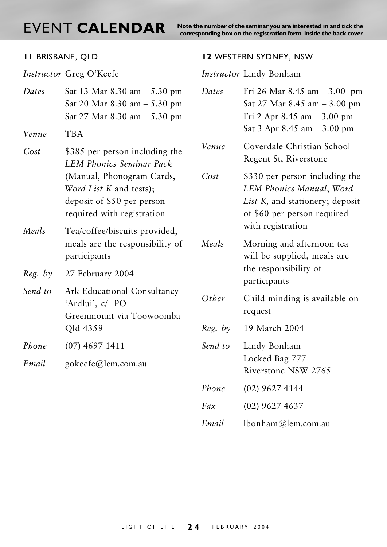## EVENT CALENDAR

Note the number of the seminar you are interested in and tick the corresponding box on the registration form inside the back cover

| II BRISBANE, QLD |                                                                                                                                                                                       |  |
|------------------|---------------------------------------------------------------------------------------------------------------------------------------------------------------------------------------|--|
|                  | Instructor Greg O'Keefe                                                                                                                                                               |  |
| Dates            | Sat 13 Mar 8.30 am - 5.30 pm<br>Sat 20 Mar $8.30$ am $- 5.30$ pm<br>Sat 27 Mar $8.30$ am $- 5.30$ pm                                                                                  |  |
| Venue            | TBA                                                                                                                                                                                   |  |
| Cost             | \$385 per person including the<br><b>LEM Phonics Seminar Pack</b><br>(Manual, Phonogram Cards,<br>Word List K and tests);<br>deposit of \$50 per person<br>required with registration |  |
| Meals            | Tea/coffee/biscuits provided,<br>meals are the responsibility of<br>participants                                                                                                      |  |
| Reg. by          | 27 February 2004                                                                                                                                                                      |  |
| Send to          | Ark Educational Consultancy<br>'Ardlui', c/- PO<br>Greenmount via Toowoomba<br>Qld 4359                                                                                               |  |
| Phone            | (07) 4697 1411                                                                                                                                                                        |  |
| Email            | gokeefe@lem.com.au                                                                                                                                                                    |  |

#### **12 WESTERN SYDNEY, NSW**

Instructor Lindy Bonham

| Dates   | Fri 26 Mar 8.45 am - 3.00 pm<br>Sat 27 Mar 8.45 am - 3.00 pm<br>Fri 2 Apr $8.45$ am $-3.00$ pm<br>Sat 3 Apr 8.45 am - 3.00 pm                     |  |
|---------|---------------------------------------------------------------------------------------------------------------------------------------------------|--|
| Venue   | Coverdale Christian School<br>Regent St, Riverstone                                                                                               |  |
| Cost    | \$330 per person including the<br>LEM Phonics Manual, Word<br>List K, and stationery; deposit<br>of \$60 per person required<br>with registration |  |
| Meals   | Morning and afternoon tea<br>will be supplied, meals are<br>the responsibility of<br>participants                                                 |  |
| Other   | Child-minding is available on<br>request                                                                                                          |  |
| Reg. by | 19 March 2004                                                                                                                                     |  |
| Send to | Lindy Bonham<br>Locked Bag 777<br>Riverstone NSW 2765                                                                                             |  |
| Phone   | (02) 9627 4144                                                                                                                                    |  |
| Fax     | $(02)$ 9627 4637                                                                                                                                  |  |
| Email   | lbonham@lem.com.au                                                                                                                                |  |
|         |                                                                                                                                                   |  |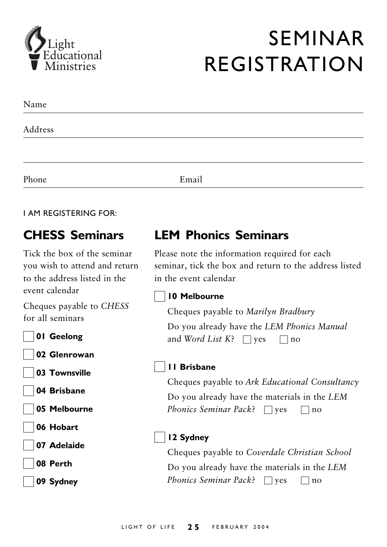

## **SEMINAR REGISTRATION**

| Name    |       |  |
|---------|-------|--|
| Address |       |  |
|         |       |  |
| Phone   | Email |  |

#### **LAM REGISTERING FOR:**

### **CHESS Seminars**

Tick the box of the seminar you wish to attend and return to the address listed in the event calendar

Cheques payable to CHESS for all seminars

01 Geelong

02 Glenrowan

03 Townsville

04 Brisbane

05 Melbourne

06 Hobart

07 Adelaide

08 Perth

09 Sydney

### **I FM Phonics Seminars**

Please note the information required for each seminar, tick the box and return to the address listed in the event calendar

#### 10 Melbourne

Cheques payable to Marilyn Bradbury

Do you already have the LEM Phonics Manual and Word List K?  $\Box$  yes  $\Box$  no

#### II Brisbane

Cheques payable to Ark Educational Consultancy Do you already have the materials in the LEM Phonics Seminar Pack?  $\Box$  yes  $\Box$  no

#### 12 Sydney

Cheques payable to Coverdale Christian School Do you already have the materials in the LEM Phonics Seminar Pack?  $\Box$  yes  $\Box$  no